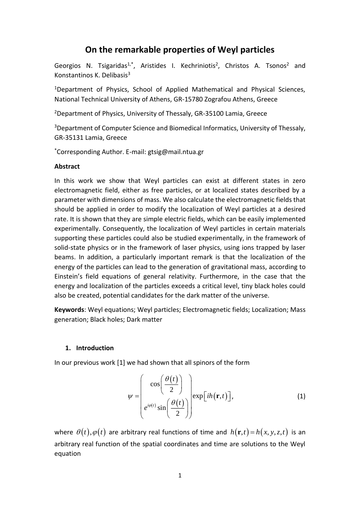# **On the remarkable properties of Weyl particles**

Georgios N. Tsigaridas<sup>1,\*</sup>, Aristides I. Kechriniotis<sup>2</sup>, Christos A. Tsonos<sup>2</sup> and Konstantinos K. Delibasis<sup>3</sup>

<sup>1</sup>Department of Physics, School of Applied Mathematical and Physical Sciences, National Technical University of Athens, GR-15780 Zografou Athens, Greece

<sup>2</sup>Department of Physics, University of Thessaly, GR-35100 Lamia, Greece

<sup>3</sup>Department of Computer Science and Biomedical Informatics, University of Thessaly, GR-35131 Lamia, Greece

\*Corresponding Author. E-mail: gtsig@mail.ntua.gr

### **Abstract**

In this work we show that Weyl particles can exist at different states in zero electromagnetic field, either as free particles, or at localized states described by a parameter with dimensions of mass. We also calculate the electromagnetic fields that should be applied in order to modify the localization of Weyl particles at a desired rate. It is shown that they are simple electric fields, which can be easily implemented experimentally. Consequently, the localization of Weyl particles in certain materials supporting these particles could also be studied experimentally, in the framework of solid-state physics or in the framework of laser physics, using ions trapped by laser beams. In addition, a particularly important remark is that the localization of the energy of the particles can lead to the generation of gravitational mass, according to Einstein's field equations of general relativity. Furthermore, in the case that the energy and localization of the particles exceeds a critical level, tiny black holes could also be created, potential candidates for the dark matter of the universe.

**Keywords**: Weyl equations; Weyl particles; Electromagnetic fields; Localization; Mass generation; Black holes; Dark matter

### **1. Introduction**

In our previous work [1] we had shown that all spinors of the form

$$
\psi = \begin{pmatrix} \cos\left(\frac{\theta(t)}{2}\right) \\ e^{i\varphi(t)}\sin\left(\frac{\theta(t)}{2}\right) \end{pmatrix} \exp[ih(\mathbf{r},t)], \tag{1}
$$

where  $\theta(t), \varphi(t)$  are arbitrary real functions of time and  $h(\mathbf{r},t)$  =  $h(x, y, z, t)$  is an arbitrary real function of the spatial coordinates and time are solutions to the Weyl equation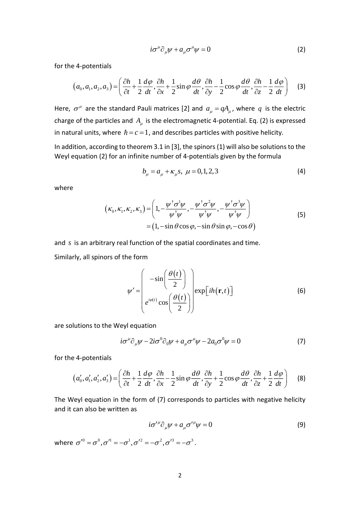$$
i\sigma^{\mu}\partial_{\mu}\psi + a_{\mu}\sigma^{\mu}\psi = 0 \tag{2}
$$

for the 4-potentials  
\n
$$
(a_0, a_1, a_2, a_3) = \left(\frac{\partial h}{\partial t} + \frac{1}{2}\frac{d\varphi}{dt}, \frac{\partial h}{\partial x} + \frac{1}{2}\sin\varphi\frac{d\theta}{dt}, \frac{\partial h}{\partial y} - \frac{1}{2}\cos\varphi\frac{d\theta}{dt}, \frac{\partial h}{\partial z} - \frac{1}{2}\frac{d\varphi}{dt}\right)
$$
(3)

Here,  $\sigma^{\mu}$  are the standard Pauli matrices [2] and  $a_{\mu} = q A_{\mu}$ , where  $q$  is the electric charge of the particles and  $A_\mu$  is the electromagnetic 4-potential. Eq. (2) is expressed in natural units, where  $\hbar = c = 1$ , and describes particles with positive helicity.

In addition, according to theorem 3.1 in [3], the spinors (1) will also be solutions to the Weyl equation (2) for an infinite number of 4-potentials given by the formula

$$
b_{\mu} = a_{\mu} + \kappa_{\mu} s, \ \mu = 0, 1, 2, 3 \tag{4}
$$

where

$$
(\kappa_0, \kappa_1, \kappa_2, \kappa_3) = \left(1, -\frac{\psi^{\dagger} \sigma^1 \psi}{\psi^{\dagger} \psi}, -\frac{\psi^{\dagger} \sigma^2 \psi}{\psi^{\dagger} \psi}, -\frac{\psi^{\dagger} \sigma^3 \psi}{\psi^{\dagger} \psi}\right)
$$
  
=  $(1, -\sin \theta \cos \varphi, -\sin \theta \sin \varphi, -\cos \theta)$  (5)

and *s* is an arbitrary real function of the spatial coordinates and time.

Similarly, all spinors of the form

$$
\psi' = \begin{pmatrix} -\sin\left(\frac{\theta(t)}{2}\right) \\ e^{i\varphi(t)}\cos\left(\frac{\theta(t)}{2}\right) \end{pmatrix} \exp[ih(\mathbf{r},t)] \tag{6}
$$

are solutions to the Weyl equation

$$
i\sigma^{\mu}\partial_{\mu}\psi - 2i\sigma^{0}\partial_{0}\psi + a_{\mu}\sigma^{\mu}\psi - 2a_{0}\sigma^{0}\psi = 0
$$
 (7)

for the 4-potentials

$$
(a'_0, a'_1, a'_2, a'_3) = \left(\frac{\partial h}{\partial t} + \frac{1}{2}\frac{d\varphi}{dt}, \frac{\partial h}{\partial x} - \frac{1}{2}\sin\varphi\frac{d\vartheta}{dt}, \frac{\partial h}{\partial y} + \frac{1}{2}\cos\varphi\frac{d\vartheta}{dt}, \frac{\partial h}{\partial z} + \frac{1}{2}\frac{d\varphi}{dt}\right) \tag{8}
$$

The Weyl equation in the form of (7) corresponds to particles with negative helicity and it can also be written as

$$
i\sigma^{\prime\mu}\partial_{\mu}\psi + a_{\mu}\sigma^{\prime\mu}\psi = 0 \tag{9}
$$

where  $\sigma^{\prime 0} = \sigma^0, \sigma^{\prime 1} = -\sigma^1, \sigma^{\prime 2} = -\sigma^2, \sigma^{\prime 3} = -\sigma^3$ .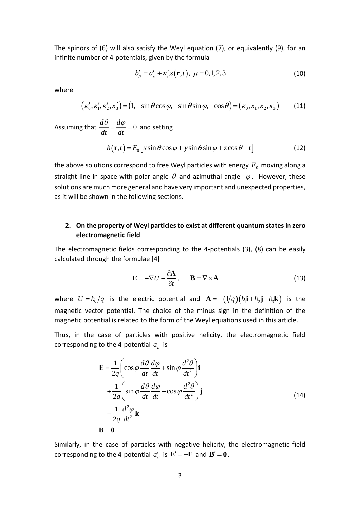The spinors of (6) will also satisfy the Weyl equation (7), or equivalently (9), for an infinite number of 4-potentials, given by the formula

$$
b'_{\mu} = a'_{\mu} + \kappa'_{\mu} s(\mathbf{r}, t), \ \mu = 0, 1, 2, 3 \tag{10}
$$

where

$$
(\kappa'_0, \kappa'_1, \kappa'_2, \kappa'_3) = (1, -\sin\theta\cos\varphi, -\sin\theta\sin\varphi, -\cos\theta) = (\kappa_0, \kappa_1, \kappa_2, \kappa_3)
$$
 (11)

Assuming that  $\frac{d\theta}{dt} = \frac{d\varphi}{dt} = 0$ *dt dt*  $\frac{\partial \theta}{\partial t} = \frac{d\varphi}{dt} = 0$  and setting

$$
h(\mathbf{r},t) = E_0 \left[ x \sin \theta \cos \varphi + y \sin \theta \sin \varphi + z \cos \theta - t \right]
$$
 (12)

the above solutions correspond to free Weyl particles with energy  $E_{0}$  moving along a straight line in space with polar angle  $\theta$  and azimuthal angle  $\varphi$ . However, these solutions are much more general and have very important and unexpected properties, as it will be shown in the following sections.

### **2. On the property of Weyl particles to exist at different quantum states in zero electromagnetic field**

The electromagnetic fields corresponding to the 4-potentials (3), (8) can be easily calculated through the formulae [4]

$$
\mathbf{E} = -\nabla U - \frac{\partial \mathbf{A}}{\partial t}, \qquad \mathbf{B} = \nabla \times \mathbf{A}
$$
 (13)

where  $U = b_0/q$  is the electric potential and  ${\bf A} = -(1/q)(b_1{\bf i}+b_2{\bf j}+b_3{\bf k})$  is the magnetic vector potential. The choice of the minus sign in the definition of the magnetic potential is related to the form of the Weyl equations used in this article.

Thus, in the case of particles with positive helicity, the electromagnetic field corresponding to the 4-potential  $a_\mu$  is

$$
\mathbf{E} = \frac{1}{2q} \left( \cos \varphi \frac{d\theta}{dt} \frac{d\varphi}{dt} + \sin \varphi \frac{d^2\theta}{dt^2} \right) \mathbf{i} + \frac{1}{2q} \left( \sin \varphi \frac{d\theta}{dt} \frac{d\varphi}{dt} - \cos \varphi \frac{d^2\theta}{dt^2} \right) \mathbf{j} - \frac{1}{2q} \frac{d^2\varphi}{dt^2} \mathbf{k} \n\mathbf{B} = \mathbf{0}
$$
\n(14)

Similarly, in the case of particles with negative helicity, the electromagnetic field corresponding to the 4-potential  $a'_\mu$  is  ${\bf E'} = -{\bf E}$  and  ${\bf B'} = {\bf 0}$ .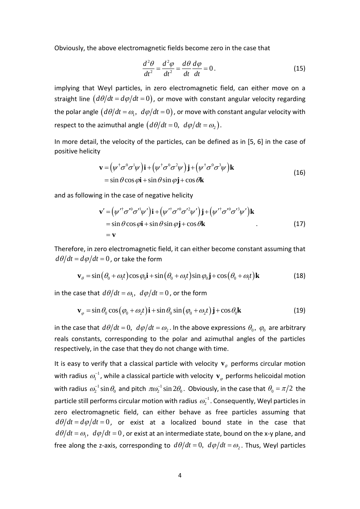Obviously, the above electromagnetic fields become zero in the case that

$$
\frac{d^2\theta}{dt^2} = \frac{d^2\varphi}{dt^2} = \frac{d\theta}{dt}\frac{d\varphi}{dt} = 0.
$$
 (15)

implying that Weyl particles, in zero electromagnetic field, can either move on a straight line  $(d\theta/dt = d\varphi/dt = 0)$ , or move with constant angular velocity regarding the polar angle  $\big(d\theta/dt=\omega_\text{l},\,\,d\varphi/dt\!=\!0\big)$  , or move with constant angular velocity with respect to the azimuthal angle  $(d\theta/dt = 0, d\phi/dt = \omega_2)$ .

In more detail, the velocity of the particles, can be defined as in [5, 6] in the case of positive helicity

$$
\mathbf{v} = (\psi^{\dagger} \sigma^0 \sigma^1 \psi) \mathbf{i} + (\psi^{\dagger} \sigma^0 \sigma^2 \psi) \mathbf{j} + (\psi^{\dagger} \sigma^0 \sigma^3 \psi) \mathbf{k}
$$
  
= sin  $\theta$  cos  $\phi$ **i** + sin  $\theta$  sin  $\phi$ **j** + cos  $\theta$ **k** (16)

and as following in the case of negative helicity  
\n
$$
\mathbf{v}' = (\psi'^{\dagger} \sigma'^0 \sigma'^1 \psi') \mathbf{i} + (\psi'^{\dagger} \sigma'^0 \sigma'^2 \psi') \mathbf{j} + (\psi'^{\dagger} \sigma'^0 \sigma'^3 \psi') \mathbf{k}
$$
\n
$$
= \sin \theta \cos \varphi \mathbf{i} + \sin \theta \sin \varphi \mathbf{j} + \cos \theta \mathbf{k}
$$
\n
$$
= \mathbf{v}
$$
\n(17)

Therefore, in zero electromagnetic field, it can either become constant assuming that  $d\theta/dt$  =  $d\varphi/dt$  =  $0$  , or take the form

$$
\mathbf{v}_{\theta} = \sin(\theta_0 + \omega_1 t) \cos \varphi_0 \mathbf{i} + \sin(\theta_0 + \omega_1 t) \sin \varphi_0 \mathbf{j} + \cos(\theta_0 + \omega_1 t) \mathbf{k}
$$
(18)

in the case that 
$$
d\theta/dt = \omega_1
$$
,  $d\varphi/dt = 0$ , or the form  
\n
$$
\mathbf{v}_{\varphi} = \sin \theta_0 \cos (\varphi_0 + \omega_2 t) \mathbf{i} + \sin \theta_0 \sin (\varphi_0 + \omega_2 t) \mathbf{j} + \cos \theta_0 \mathbf{k}
$$
\n(19)

in the case that  $d\theta/dt = 0$ ,  $d\varphi/dt = \omega_2$ . In the above expressions  $\theta_0$ ,  $\varphi_0$  are arbitrary reals constants, corresponding to the polar and azimuthal angles of the particles respectively, in the case that they do not change with time.

It is easy to verify that a classical particle with velocity  $\mathbf{v}_{\theta}$  performs circular motion with radius  $\omega_1^{-1}$ , while a classical particle with velocity  $\mathbf{v}_\varphi$  performs helicoidal motion with radius  $\omega_2^{-1}\sin\theta_0$  and pitch  $\pi\omega_2^{-1}\sin2\theta_0$ . Obviously, in the case that  $\theta_0 = \pi/2$  the particle still performs circular motion with radius  $\omega_2^{-1}$ . Consequently, Weyl particles in zero electromagnetic field, can either behave as free particles assuming that  $d\theta/dt$  =  $d\varphi/dt$  =  $0$  , or exist at a localized bound state in the case that  $d\theta/dt$  =  $\omega_{\text{\tiny I}},\,\,d\varphi/dt$  =  $0$  , or exist at an intermediate state, bound on the x-y plane, and free along the z-axis, corresponding to  $d\theta/dt = 0$ ,  $d\phi/dt = \omega_2$ . Thus, Weyl particles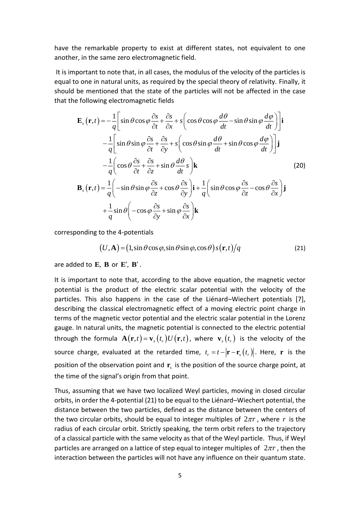have the remarkable property to exist at different states, not equivalent to one another, in the same zero electromagnetic field.

It is important to note that, in all cases, the modulus of the velocity of the particles is equal to one in natural units, as required by the special theory of relativity. Finally, it should be mentioned that the state of the particles will not be affected in the case that the following electromagnetic fields

$$
\mathbf{E}_{s}(\mathbf{r},t) = -\frac{1}{q} \Bigg[ \sin \theta \cos \varphi \frac{\partial s}{\partial t} + \frac{\partial s}{\partial x} + s \Big( \cos \theta \cos \varphi \frac{d\theta}{dt} - \sin \theta \sin \varphi \frac{d\varphi}{dt} \Big) \Bigg] \mathbf{i}
$$
  
\n
$$
-\frac{1}{q} \Bigg[ \sin \theta \sin \varphi \frac{\partial s}{\partial t} + \frac{\partial s}{\partial y} + s \Big( \cos \theta \sin \varphi \frac{d\theta}{dt} + \sin \theta \cos \varphi \frac{d\varphi}{dt} \Big) \Bigg] \mathbf{j}
$$
  
\n
$$
-\frac{1}{q} \Bigg( \cos \theta \frac{\partial s}{\partial t} + \frac{\partial s}{\partial z} + \sin \theta \frac{d\theta}{dt} s \Big) \mathbf{k}
$$
  
\n
$$
\mathbf{B}_{s}(\mathbf{r},t) = \frac{1}{q} \Bigg( -\sin \theta \sin \varphi \frac{\partial s}{\partial z} + \cos \theta \frac{\partial s}{\partial y} \Bigg) \mathbf{i} + \frac{1}{q} \Bigg( \sin \theta \cos \varphi \frac{\partial s}{\partial z} - \cos \theta \frac{\partial s}{\partial x} \Bigg) \mathbf{j}
$$
  
\n
$$
+ \frac{1}{q} \sin \theta \Bigg( -\cos \varphi \frac{\partial s}{\partial y} + \sin \varphi \frac{\partial s}{\partial x} \Bigg) \mathbf{k}
$$
  
\n(20)

corresponding to the 4-potentials

$$
(U, \mathbf{A}) = (1, \sin \theta \cos \varphi, \sin \theta \sin \varphi, \cos \theta) s(\mathbf{r}, t) / q
$$
 (21)

are added to  $\mathbf{E}$ ,  $\mathbf{B}$  or  $\mathbf{E}'$ ,  $\mathbf{B}'$ .

It is important to note that, according to the above equation, the magnetic vector potential is the product of the electric scalar potential with the velocity of the particles. This also happens in the case of the Liénard–Wiechert potentials [7], describing the classical electromagnetic effect of a moving electric point charge in terms of the magnetic vector potential and the electric scalar potential in the Lorenz gauge. In natural units, the magnetic potential is connected to the electric potential through the formula  $\mathbf{A}(\mathbf{r},t) \!=\! \mathbf{v}_s\big(t_r\big) U\big(\mathbf{r},t\big)$ , where  $\mathbf{v}_s\big(t_r\big)$  is the velocity of the source charge, evaluated at the retarded time,  $t_r = t - |\mathbf{r} - \mathbf{r}_s(t_r)|$ . Here,  $\mathbf{r}$  is the position of the observation point and  $\mathbf{r}_s$  is the position of the source charge point, at the time of the signal's origin from that point.

Thus, assuming that we have two localized Weyl particles, moving in closed circular orbits, in order the 4-potential (21) to be equal to the Liénard–Wiechert potential, the distance between the two particles, defined as the distance between the centers of the two circular orbits, should be equal to integer multiples of  $2\pi r$ , where r is the radius of each circular orbit. Strictly speaking, the term orbit refers to the trajectory of a classical particle with the same velocity as that of the Weyl particle. Thus, if Weyl particles are arranged on a lattice of step equal to integer multiples of  $2\pi r$ , then the interaction between the particles will not have any influence on their quantum state.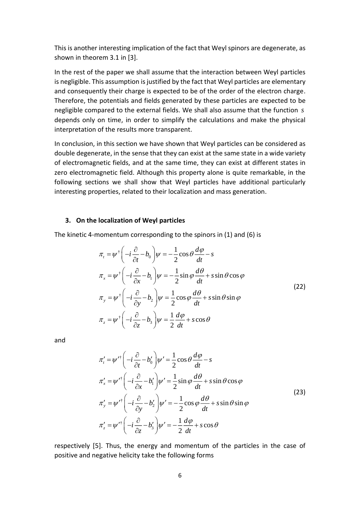This is another interesting implication of the fact that Weyl spinors are degenerate, as shown in theorem 3.1 in [3].

In the rest of the paper we shall assume that the interaction between Weyl particles is negligible. This assumption is justified by the fact that Weyl particles are elementary and consequently their charge is expected to be of the order of the electron charge. Therefore, the potentials and fields generated by these particles are expected to be negligible compared to the external fields. We shall also assume that the function *s* depends only on time, in order to simplify the calculations and make the physical interpretation of the results more transparent.

In conclusion, in this section we have shown that Weyl particles can be considered as double degenerate, in the sense that they can exist at the same state in a wide variety of electromagnetic fields, and at the same time, they can exist at different states in zero electromagnetic field. Although this property alone is quite remarkable, in the following sections we shall show that Weyl particles have additional particularly interesting properties, related to their localization and mass generation.

#### **3. On the localization of Weyl particles**

The kinetic 4-momentum corresponding to the spinors in (1) and (6) is

$$
\pi_{t} = \psi^{\dagger} \left( -i \frac{\partial}{\partial t} - b_{0} \right) \psi = -\frac{1}{2} \cos \theta \frac{d\phi}{dt} - s
$$
\n
$$
\pi_{x} = \psi^{\dagger} \left( -i \frac{\partial}{\partial x} - b_{1} \right) \psi = -\frac{1}{2} \sin \phi \frac{d\theta}{dt} + s \sin \theta \cos \phi
$$
\n
$$
\pi_{y} = \psi^{\dagger} \left( -i \frac{\partial}{\partial y} - b_{2} \right) \psi = \frac{1}{2} \cos \phi \frac{d\theta}{dt} + s \sin \theta \sin \phi
$$
\n
$$
\pi_{z} = \psi^{\dagger} \left( -i \frac{\partial}{\partial z} - b_{3} \right) \psi = \frac{1}{2} \frac{d\phi}{dt} + s \cos \theta
$$
\n(22)

and

$$
\pi'_{t} = \psi'^{\dagger} \left( -i \frac{\partial}{\partial t} - b'_{0} \right) \psi' = \frac{1}{2} \cos \theta \frac{d\phi}{dt} - s
$$
  
\n
$$
\pi'_{x} = \psi'^{\dagger} \left( -i \frac{\partial}{\partial x} - b'_{1} \right) \psi' = \frac{1}{2} \sin \phi \frac{d\theta}{dt} + s \sin \theta \cos \phi
$$
  
\n
$$
\pi'_{y} = \psi'^{\dagger} \left( -i \frac{\partial}{\partial y} - b'_{2} \right) \psi' = -\frac{1}{2} \cos \phi \frac{d\theta}{dt} + s \sin \theta \sin \phi
$$
  
\n
$$
\pi'_{z} = \psi'^{\dagger} \left( -i \frac{\partial}{\partial z} - b'_{3} \right) \psi' = -\frac{1}{2} \frac{d\phi}{dt} + s \cos \theta
$$
\n(23)

respectively [5]. Thus, the energy and momentum of the particles in the case of positive and negative helicity take the following forms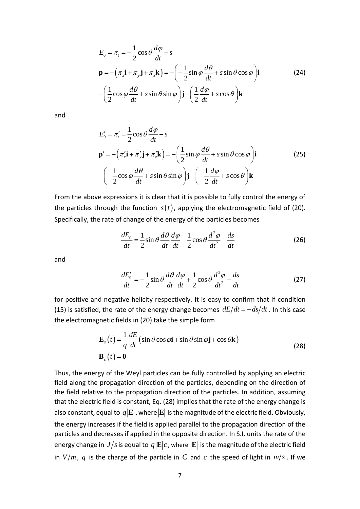$$
E_0 = \pi_t = -\frac{1}{2}\cos\theta \frac{d\varphi}{dt} - s
$$
  

$$
\mathbf{p} = -(\pi_x \mathbf{i} + \pi_y \mathbf{j} + \pi_z \mathbf{k}) = -\left(-\frac{1}{2}\sin\varphi \frac{d\theta}{dt} + s\sin\theta\cos\varphi\right)\mathbf{i}
$$
(24)  

$$
-\left(\frac{1}{2}\cos\varphi \frac{d\theta}{dt} + s\sin\theta\sin\varphi\right)\mathbf{j} - \left(\frac{1}{2}\frac{d\varphi}{dt} + s\cos\theta\right)\mathbf{k}
$$

and

$$
E'_{0} = \pi'_{t} = \frac{1}{2}\cos\theta\frac{d\varphi}{dt} - s
$$
  

$$
\mathbf{p}' = -(\pi'_{x}\mathbf{i} + \pi'_{y}\mathbf{j} + \pi'_{z}\mathbf{k}) = -(\frac{1}{2}\sin\varphi\frac{d\theta}{dt} + s\sin\theta\cos\varphi)\mathbf{i}
$$
  

$$
-(\frac{1}{2}\cos\varphi\frac{d\theta}{dt} + s\sin\theta\sin\varphi)\mathbf{j} - (\frac{1}{2}\frac{d\varphi}{dt} + s\cos\theta)\mathbf{k}
$$
 (25)

From the above expressions it is clear that it is possible to fully control the energy of the particles through the function  $s(t)$ , applying the electromagnetic field of (20). Specifically, the rate of change of the energy of the particles becomes

$$
\frac{dE_0}{dt} = \frac{1}{2}\sin\theta \frac{d\theta}{dt}\frac{d\varphi}{dt} - \frac{1}{2}\cos\theta \frac{d^2\varphi}{dt^2} - \frac{ds}{dt}
$$
(26)

and

$$
\frac{dE'_0}{dt} = -\frac{1}{2}\sin\theta \frac{d\theta}{dt} \frac{d\varphi}{dt} + \frac{1}{2}\cos\theta \frac{d^2\varphi}{dt^2} - \frac{ds}{dt}
$$
(27)

for positive and negative helicity respectively. It is easy to confirm that if condition (15) is satisfied, the rate of the energy change becomes  $dE/dt = - ds/dt$  . In this case the electromagnetic fields in (20) take the simple form

$$
\mathbf{E}_s(t) = \frac{1}{q} \frac{dE}{dt} (\sin \theta \cos \varphi \mathbf{i} + \sin \theta \sin \varphi \mathbf{j} + \cos \theta \mathbf{k})
$$
  

$$
\mathbf{B}_s(t) = \mathbf{0}
$$
 (28)

Thus, the energy of the Weyl particles can be fully controlled by applying an electric field along the propagation direction of the particles, depending on the direction of the field relative to the propagation direction of the particles. In addition, assuming that the electric field is constant, Eq. (28) implies that the rate of the energy change is also constant, equal to  $q|\mathbf{E}|$ , where $|\mathbf{E}|$  is the magnitude of the electric field. Obviously, the energy increases if the field is applied parallel to the propagation direction of the particles and decreases if applied in the opposite direction. In S.I. units the rate of the energy change in  $J/s$  is equal to  $q|\mathbf{E}|c$  , where  $|\mathbf{E}|$  is the magnitude of the electric field in  $V/m$ ,  $q$  is the charge of the particle in  $C$  and  $c$  the speed of light in  $m/s$  . If we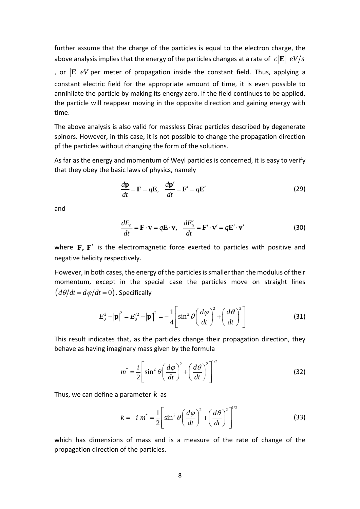further assume that the charge of the particles is equal to the electron charge, the above analysis implies that the energy of the particles changes at a rate of  $\ c\left|\mathbf{E}\right|\ eV/s$ , or **E** *eV* per meter of propagation inside the constant field. Thus, applying a constant electric field for the appropriate amount of time, it is even possible to annihilate the particle by making its energy zero. If the field continues to be applied, the particle will reappear moving in the opposite direction and gaining energy with time.

The above analysis is also valid for massless Dirac particles described by degenerate spinors. However, in this case, it is not possible to change the propagation direction pf the particles without changing the form of the solutions.

As far as the energy and momentum of Weyl particles is concerned, it is easy to verify that they obey the basic laws of physics, namely

$$
\frac{d\mathbf{p}}{dt} = \mathbf{F} = q\mathbf{E}, \quad \frac{d\mathbf{p}'}{dt} = \mathbf{F}' = q\mathbf{E}' \tag{29}
$$

and

$$
\frac{dE_0}{dt} = \mathbf{F} \cdot \mathbf{v} = q\mathbf{E} \cdot \mathbf{v}, \quad \frac{dE'_0}{dt} = \mathbf{F}' \cdot \mathbf{v}' = q\mathbf{E}' \cdot \mathbf{v}' \tag{30}
$$

where **F**, **F**<sup>'</sup> is the electromagnetic force exerted to particles with positive and negative helicity respectively.

However, in both cases, the energy of the particles is smaller than the modulus of their momentum, except in the special case the particles move on straight lines  $(d\theta/dt = d\phi/dt = 0)$ . Specifically

$$
E_0^2 - |\mathbf{p}|^2 = E_0'^2 - |\mathbf{p}'|^2 = -\frac{1}{4} \left[ \sin^2 \theta \left( \frac{d\varphi}{dt} \right)^2 + \left( \frac{d\theta}{dt} \right)^2 \right]
$$
(31)

This result indicates that, as the particles change their propagation direction, they behave as having imaginary mass given by the formula

$$
m^* = \frac{i}{2} \left[ \sin^2 \theta \left( \frac{d\varphi}{dt} \right)^2 + \left( \frac{d\theta}{dt} \right)^2 \right]^{1/2}
$$
 (32)

Thus, we can define a parameter *k* as

$$
k = -i \ m^* = \frac{1}{2} \left[ \sin^2 \theta \left( \frac{d\varphi}{dt} \right)^2 + \left( \frac{d\theta}{dt} \right)^2 \right]^{1/2}
$$
 (33)

which has dimensions of mass and is a measure of the rate of change of the propagation direction of the particles.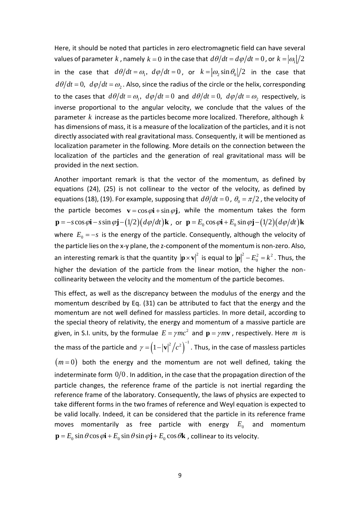Here, it should be noted that particles in zero electromagnetic field can have several values of parameter  $k$  , namely  $k = 0$  in the case that  $d\theta/dt = d\varphi/dt = 0$  , or  $k = |\varpi|/2$ in the case that  $d\theta/dt = \omega_1$ ,  $d\varphi/dt = 0$ , or  $k = |\omega_2 \sin \theta_0|/2$  in the case that  $d\theta/dt$  =  $0$ ,  $\ d\varphi/dt$  =  $\omega_{2}$  . Also, since the radius of the circle or the helix, corresponding to the cases that  $d\theta/dt = \omega_1$ ,  $d\varphi/dt = 0$  and  $d\theta/dt = 0$ ,  $d\varphi/dt = \omega_2$  respectively, is inverse proportional to the angular velocity, we conclude that the values of the parameter *k* increase as the particles become more localized. Therefore, although *k* has dimensions of mass, it is a measure of the localization of the particles, and it is not directly associated with real gravitational mass. Consequently, it will be mentioned as localization parameter in the following. More details on the connection between the localization of the particles and the generation of real gravitational mass will be provided in the next section.

Another important remark is that the vector of the momentum, as defined by equations (24), (25) is not collinear to the vector of the velocity, as defined by equations (18), (19). For example, supposing that  $d\theta/dt = 0$  ,  $\theta_{0} = \pi/2$  , the velocity of the particle becomes  $\mathbf{v} = \cos \varphi \mathbf{i} + \sin \varphi \mathbf{j}$ , while the momentum takes the form  $\mathbf{p} = -s\cos\varphi\mathbf{i} - s\sin\varphi\mathbf{j} - (1/2)(d\varphi/dt)\mathbf{k}$ , or  $\mathbf{p} = E_0\cos\varphi\mathbf{i} + E_0\sin\varphi\mathbf{j} - (1/2)(d\varphi/dt)\mathbf{k}$ where  $E_0 = -s$  is the energy of the particle. Consequently, although the velocity of the particle lies on the x-y plane, the z-component of the momentum is non-zero. Also, an interesting remark is that the quantity  $|\mathbf{p} \times \mathbf{v}|^2$  is equal to  $|\mathbf{p}|^2 - E_0^2 = k^2$ . Thus, the higher the deviation of the particle from the linear motion, the higher the noncollinearity between the velocity and the momentum of the particle becomes.

This effect, as well as the discrepancy between the modulus of the energy and the momentum described by Eq. (31) can be attributed to fact that the energy and the momentum are not well defined for massless particles. In more detail, according to the special theory of relativity, the energy and momentum of a massive particle are given, in S.I. units, by the formulae  $E = \gamma mc^2$  and  $\mathbf{p} = \gamma m \mathbf{v}$  , respectively. Here m is the mass of the particle and  $\gamma = (1 - |\mathbf{v}|^2/c^2)^{-1}$  . Thus, in the case of massless particles  $(m=0)$  both the energy and the momentum are not well defined, taking the indeterminate form  $0/0$  . In addition, in the case that the propagation direction of the particle changes, the reference frame of the particle is not inertial regarding the reference frame of the laboratory. Consequently, the laws of physics are expected to take different forms in the two frames of reference and Weyl equation is expected to be valid locally. Indeed, it can be considered that the particle in its reference frame moves momentarily as free particle with energy  $E_0$  and momentum  $\mathbf{p} = E_0 \sin \theta \cos \phi \mathbf{i} + E_0 \sin \theta \sin \phi \mathbf{j} + E_0 \cos \theta \mathbf{k}$ , collinear to its velocity.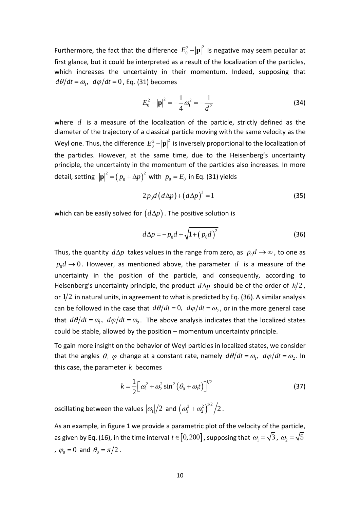Furthermore, the fact that the difference  $E_0^2 - |\mathbf{p}|^2$  is negative may seem peculiar at first glance, but it could be interpreted as a result of the localization of the particles, which increases the uncertainty in their momentum. Indeed, supposing that  $d\theta/dt = \omega_{\textrm{l}},\,\,d\varphi/dt = 0$  , Eq. (31) becomes

$$
E_0^2 - |\mathbf{p}|^2 = -\frac{1}{4}\omega_1^2 = -\frac{1}{d^2}
$$
 (34)

where *d* is a measure of the localization of the particle, strictly defined as the diameter of the trajectory of a classical particle moving with the same velocity as the Weyl one. Thus, the difference  $E_0^2 - |\mathbf{p}|^2$  is inversely proportional to the localization of the particles. However, at the same time, due to the Heisenberg's uncertainty principle, the uncertainty in the momentum of the particles also increases. In more detail, setting  $\left| \mathbf{p} \right|^2 = \left( p_0 + \Delta p \right)^2$  with  $p_0 = E_0$  in Eq. (31) yields

$$
2p_0d\left(d\Delta p\right) + \left(d\Delta p\right)^2 = 1\tag{35}
$$

which can be easily solved for  $\big(d\Delta \!p\big)$  . The positive solution is

$$
d\Delta p = -p_0 d + \sqrt{1 + (p_0 d)^2}
$$
 (36)

Thus, the quantity  $d\Delta p$  takes values in the range from zero, as  $p_0d \rightarrow \infty$ , to one as  $p_{0}d \rightarrow 0$ . However, as mentioned above, the parameter  $d$  is a measure of the uncertainty in the position of the particle, and consequently, according to Heisenberg's uncertainty principle, the product  $d\Delta p$  should be of the order of  $\hbar/2$ , or  $1/2$  in natural units, in agreement to what is predicted by Eq. (36). A similar analysis can be followed in the case that  $d\theta/dt = 0$ ,  $d\varphi/dt = \omega_2$ , or in the more general case that  $d\theta/dt = \omega_1$ ,  $d\varphi/dt = \omega_2$ . The above analysis indicates that the localized states could be stable, allowed by the position – momentum uncertainty principle.

To gain more insight on the behavior of Weyl particles in localized states, we consider that the angles  $\theta$ ,  $\varphi$  change at a constant rate, namely  $d\theta/dt = \omega_1$ ,  $d\varphi/dt = \omega_2$ . In this case, the parameter *k* becomes

$$
k = \frac{1}{2} \Big[ \omega_1^2 + \omega_2^2 \sin^2 \left( \theta_0 + \omega_1 t \right) \Big]^{1/2}
$$
 (37)

oscillating between the values  $\left|\omega_{\text{l}}\right|/2$  and  $\left(\omega_{\text{l}}^2+\omega_{\text{2}}^2\right)^{\!1/2}\Big/2$  .

As an example, in figure 1 we provide a parametric plot of the velocity of the particle, as given by Eq. (16), in the time interval  $\,t\in[0,200]$  , supposing that  $\,\omega_{_{\rm l}}=\!\sqrt{3}$  ,  $\,\omega_{_{\rm 2}}=\!\sqrt{5}$ ,  $\varphi_0 = 0$  and  $\theta_0 = \pi/2$ .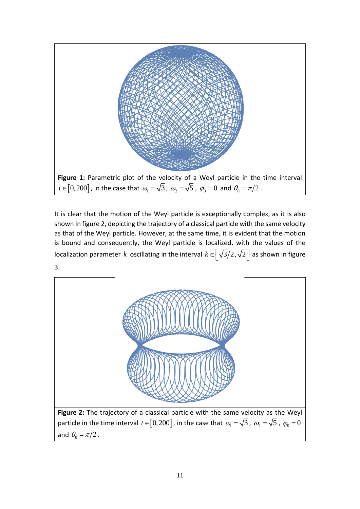

It is clear that the motion of the Weyl particle is exceptionally complex, as it is also shown in figure 2, depicting the trajectory of a classical particle with the same velocity as that of the Weyl particle. However, at the same time, it is evident that the motion is bound and consequently, the Weyl particle is localized, with the values of the localization parameter  $k$  oscillating in the interval  $k \in \left[\sqrt{3}/2, \sqrt{2}\right]$  as shown in figure 3.



**Figure 2:** The trajectory of a classical particle with the same velocity as the Weyl particle in the time interval  $t \in [0,200]$  , in the case that  $\omega_1 = \sqrt{3}$  ,  $\omega_2 = \sqrt{5}$  ,  $\varphi_0 = 0$ and  $\theta_{0} = \pi/2$  .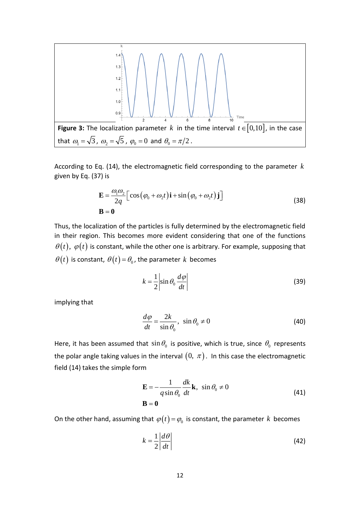

According to Eq. (14), the electromagnetic field corresponding to the parameter *k* given by Eq. (37) is

$$
\mathbf{E} = \frac{\omega_1 \omega_2}{2q} \Big[ \cos \big( \varphi_0 + \omega_2 t \big) \mathbf{i} + \sin \big( \varphi_0 + \omega_2 t \big) \mathbf{j} \Big]
$$
  
\n
$$
\mathbf{B} = \mathbf{0}
$$
\n(38)

Thus, the localization of the particles is fully determined by the electromagnetic field in their region. This becomes more evident considering that one of the functions  $\theta(t),\ \varphi(t)$  is constant, while the other one is arbitrary. For example, supposing that  $\theta(t)$  is constant,  $\theta(t)$  =  $\theta_{\scriptscriptstyle 0}$ , the parameter  $k$  becomes

$$
k = \frac{1}{2} \left| \sin \theta_0 \frac{d\varphi}{dt} \right| \tag{39}
$$

implying that

$$
\frac{d\varphi}{dt} = \frac{2k}{\sin \theta_0}, \ \sin \theta_0 \neq 0 \tag{40}
$$

Here, it has been assumed that  $\sin \theta_0$  is positive, which is true, since  $\theta_0$  represents the polar angle taking values in the interval  $(0, \ \pi)$ . In this case the electromagnetic field (14) takes the simple form

$$
\mathbf{E} = -\frac{1}{q \sin \theta_0} \frac{dk}{dt} \mathbf{k}, \sin \theta_0 \neq 0
$$
  

$$
\mathbf{B} = \mathbf{0}
$$
 (41)

On the other hand, assuming that  $\varphi(t)$  =  $\varphi_0$  is constant, the parameter  $k$  becomes

$$
k = \frac{1}{2} \left| \frac{d\theta}{dt} \right| \tag{42}
$$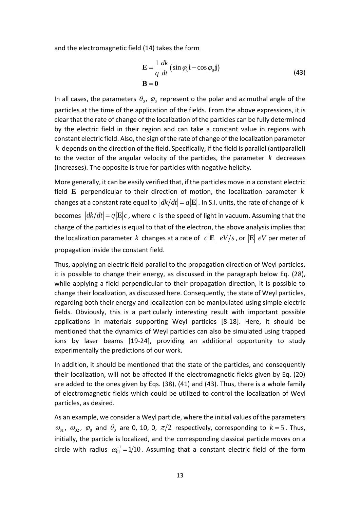and the electromagnetic field (14) takes the form

$$
\mathbf{E} = \frac{1}{q} \frac{dk}{dt} \left( \sin \varphi_0 \mathbf{i} - \cos \varphi_0 \mathbf{j} \right)
$$
  

$$
\mathbf{B} = \mathbf{0}
$$
 (43)

In all cases, the parameters  $\theta_0$ ,  $\varphi_0$  represent o the polar and azimuthal angle of the particles at the time of the application of the fields. From the above expressions, it is clear that the rate of change of the localization of the particles can be fully determined by the electric field in their region and can take a constant value in regions with constant electric field. Also, the sign of the rate of change of the localization parameter *k* depends on the direction of the field. Specifically, if the field is parallel (antiparallel) to the vector of the angular velocity of the particles, the parameter *k* decreases (increases). The opposite is true for particles with negative helicity.

More generally, it can be easily verified that, if the particles move in a constant electric field **E** perpendicular to their direction of motion, the localization parameter *k* changes at a constant rate equal to  $|dk/dt| = q|\mathbf{E}|$  . In S.I. units, the rate of change of  $k$ becomes  $|d\mathbf{k}/dt| = q|\mathbf{E}|c$ , where c is the speed of light in vacuum. Assuming that the charge of the particles is equal to that of the electron, the above analysis implies that the localization parameter  $k$  changes at a rate of  $|c| \mathbf{E} | eV/s$  , or  $|\mathbf{E} | eV$  per meter of propagation inside the constant field.

Thus, applying an electric field parallel to the propagation direction of Weyl particles, it is possible to change their energy, as discussed in the paragraph below Eq. (28), while applying a field perpendicular to their propagation direction, it is possible to change their localization, as discussed here. Consequently, the state of Weyl particles, regarding both their energy and localization can be manipulated using simple electric fields. Obviously, this is a particularly interesting result with important possible applications in materials supporting Weyl particles [8-18]. Here, it should be mentioned that the dynamics of Weyl particles can also be simulated using trapped ions by laser beams [19-24], providing an additional opportunity to study experimentally the predictions of our work.

In addition, it should be mentioned that the state of the particles, and consequently their localization, will not be affected if the electromagnetic fields given by Eq. (20) are added to the ones given by Eqs. (38), (41) and (43). Thus, there is a whole family of electromagnetic fields which could be utilized to control the localization of Weyl particles, as desired.

As an example, we consider a Weyl particle, where the initial values of the parameters  $\omega_{01}$ ,  $\omega_{02}$ ,  $\varphi_0$  and  $\theta_0$  are 0, 10, 0,  $\pi/2$  respectively, corresponding to  $k=5$ . Thus, initially, the particle is localized, and the corresponding classical particle moves on a circle with radius  $\omega_{02}^{-1} = 1/10$ . Assuming that a constant electric field of the form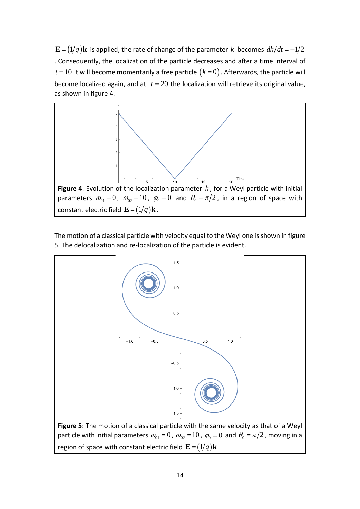is applied, the rate of change of the parameter  $k$  becomes  $dk/dt = -1/2$ . Consequently, the localization of the particle decreases and after a time interval of  $t$  =  $10\,$  it will become momentarily a free particle  $\big(k=0\big)$  . Afterwards, the particle will become localized again, and at  $t = 20$  the localization will retrieve its original value, as shown in figure 4.



The motion of a classical particle with velocity equal to the Weyl one is shown in figure 5. The delocalization and re-localization of the particle is evident.

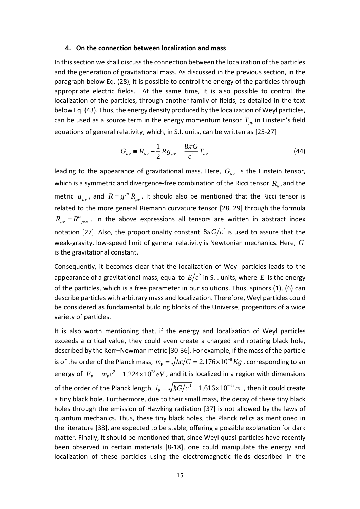#### **4. On the connection between localization and mass**

In this section we shall discuss the connection between the localization of the particles and the generation of gravitational mass. As discussed in the previous section, in the paragraph below Eq. (28), it is possible to control the energy of the particles through appropriate electric fields. At the same time, it is also possible to control the localization of the particles, through another family of fields, as detailed in the text below Eq. (43). Thus, the energy density produced by the localization of Weyl particles, can be used as a source term in the energy momentum tensor  $T_{\mu\nu}$  in Einstein's field equations of general relativity, which, in S.I. units, can be written as [25-27]

$$
G_{\mu\nu} \equiv R_{\mu\nu} - \frac{1}{2} R g_{\mu\nu} = \frac{8\pi G}{c^4} T_{\mu\nu}
$$
 (44)

leading to the appearance of gravitational mass. Here,  $G_{\mu\nu}$  is the Einstein tensor, which is a symmetric and divergence-free combination of the Ricci tensor  $\,R_{\mu\nu}^{}$  and the metric  $g_{\mu\nu}$ , and  $R = g^{\mu\nu} R_{\mu\nu}$ . It should also be mentioned that the Ricci tensor is related to the more general Riemann curvature tensor [28, 29] through the formula  $R_{\mu\nu} = R^{\alpha}_{\mu\alpha\nu}$ . In the above expressions all tensors are written in abstract index notation [27]. Also, the proportionality constant  $8\pi G/c^4$  is used to assure that the weak-gravity, low-speed limit of general relativity is Newtonian mechanics. Here, *G* is the gravitational constant.

Consequently, it becomes clear that the localization of Weyl particles leads to the appearance of a gravitational mass, equal to  $E/c^2$  in S.I. units, where  $E$  is the energy of the particles, which is a free parameter in our solutions. Thus, spinors (1), (6) can describe particles with arbitrary mass and localization. Therefore, Weyl particles could be considered as fundamental building blocks of the Universe, progenitors of a wide variety of particles.

It is also worth mentioning that, if the energy and localization of Weyl particles exceeds a critical value, they could even create a charged and rotating black hole, described by the Kerr–Newman metric [30-36]. For example, if the mass of the particle is of the order of the Planck mass,  $m_{\rm p} = \sqrt{\hbar c/G} = 2.176 \times 10^{-8} \, Kg$  , corresponding to an energy of  $E_p = m_p c^2 = 1.224 \times 10^{28} eV$ , and it is localized in a region with dimensions of the order of the Planck length,  $l_{\rm p} = \sqrt{\hbar G/c^3} = 1.616 \times 10^{-35}$  $l_{\rm p} = \sqrt{\hbar G/c^3} = 1.616 \times 10^{-35}$  m, then it could create a tiny black hole. Furthermore, due to their small mass, the decay of these tiny black holes through the emission of Hawking radiation [37] is not allowed by the laws of quantum mechanics. Thus, these tiny black holes, the Planck relics as mentioned in the literature [38], are expected to be stable, offering a possible explanation for dark matter. Finally, it should be mentioned that, since Weyl quasi-particles have recently been observed in certain materials [8-18], one could manipulate the energy and localization of these particles using the electromagnetic fields described in the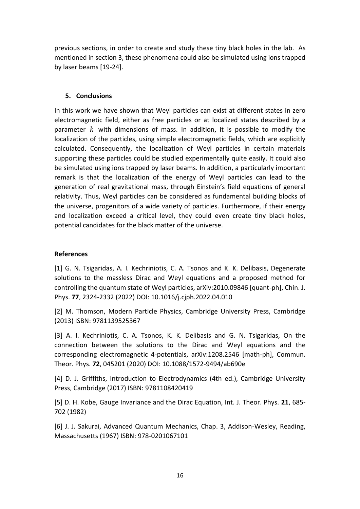previous sections, in order to create and study these tiny black holes in the lab. As mentioned in section 3, these phenomena could also be simulated using ions trapped by laser beams [19-24].

## **5. Conclusions**

In this work we have shown that Weyl particles can exist at different states in zero electromagnetic field, either as free particles or at localized states described by a parameter *k* with dimensions of mass. In addition, it is possible to modify the localization of the particles, using simple electromagnetic fields, which are explicitly calculated. Consequently, the localization of Weyl particles in certain materials supporting these particles could be studied experimentally quite easily. It could also be simulated using ions trapped by laser beams. In addition, a particularly important remark is that the localization of the energy of Weyl particles can lead to the generation of real gravitational mass, through Einstein's field equations of general relativity. Thus, Weyl particles can be considered as fundamental building blocks of the universe, progenitors of a wide variety of particles. Furthermore, if their energy and localization exceed a critical level, they could even create tiny black holes, potential candidates for the black matter of the universe.

# **References**

[1] G. N. Tsigaridas, A. I. Kechriniotis, C. A. Tsonos and K. K. Delibasis, Degenerate solutions to the massless Dirac and Weyl equations and a proposed method for controlling the quantum state of Weyl particles, arXiv:2010.09846 [quant-ph], Chin. J. Phys. **77**, 2324-2332 (2022) DOI: 10.1016/j.cjph.2022.04.010

[2] M. Thomson, Modern Particle Physics, Cambridge University Press, Cambridge (2013) ISBN: 9781139525367

[3] A. I. Kechriniotis, C. A. Tsonos, K. K. Delibasis and G. N. Tsigaridas, On the connection between the solutions to the Dirac and Weyl equations and the corresponding electromagnetic 4-potentials, arXiv:1208.2546 [math-ph], Commun. Theor. Phys. **72**, 045201 (2020) DOI: 10.1088/1572-9494/ab690e

[4] D. J. Griffiths, Introduction to Electrodynamics (4th ed.), Cambridge University Press, Cambridge (2017) ISBN: 9781108420419

[5] D. H. Kobe, Gauge Invariance and the Dirac Equation, Int. J. Theor. Phys. **21**, 685- 702 (1982)

[6] J. J. Sakurai, Advanced Quantum Mechanics, Chap. 3, Addison-Wesley, Reading, Massachusetts (1967) ISBN: 978-0201067101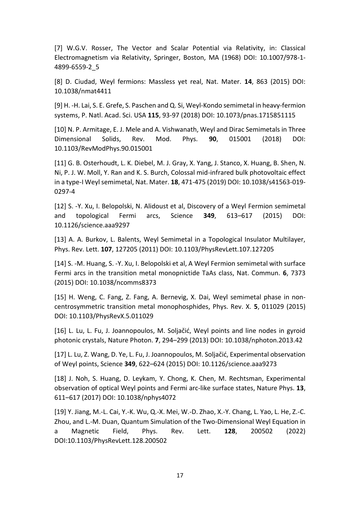[7] W.G.V. Rosser, The Vector and Scalar Potential via Relativity, in: Classical Electromagnetism via Relativity, Springer, Boston, MA (1968) DOI: 10.1007/978-1- 4899-6559-2\_5

[8] D. Ciudad, Weyl fermions: Massless yet real, Nat. Mater. **14**, 863 (2015) DOI: 10.1038/nmat4411

[9] H. -H. Lai, S. E. Grefe, S. Paschen and Q. Si, Weyl-Kondo semimetal in heavy-fermion systems, P. Natl. Acad. Sci. USA **115**, 93-97 (2018) DOI: 10.1073/pnas.1715851115

[10] N. P. Armitage, E. J. Mele and A. Vishwanath, Weyl and Dirac Semimetals in Three Dimensional Solids, Rev. Mod. Phys. **90**, 015001 (2018) DOI: 10.1103/RevModPhys.90.015001

[11] G. B. Osterhoudt, L. K. Diebel, M. J. Gray, X. Yang, J. Stanco, X. Huang, B. Shen, N. Ni, P. J. W. Moll, Y. Ran and K. S. Burch, Colossal mid-infrared bulk photovoltaic effect in a type-I Weyl semimetal, Nat. Mater. **18**, 471-475 (2019) DOI: 10.1038/s41563-019- 0297-4

[12] S. -Y. Xu, I. Belopolski, N. Alidoust et al, Discovery of a Weyl Fermion semimetal and topological Fermi arcs, Science **349**, 613–617 (2015) DOI: 10.1126/science.aaa9297

[13] A. A. Burkov, L. Balents, Weyl Semimetal in a Topological Insulator Multilayer, Phys. Rev. Lett. **107**, 127205 (2011) DOI: 10.1103/PhysRevLett.107.127205

[14] S. -M. Huang, S. -Y. Xu, I. Belopolski et al, A Weyl Fermion semimetal with surface Fermi arcs in the transition metal monopnictide TaAs class, Nat. Commun. **6**, 7373 (2015) DOI: 10.1038/ncomms8373

[15] H. Weng, C. Fang, Z. Fang, A. Bernevig, X. Dai, Weyl semimetal phase in noncentrosymmetric transition metal monophosphides, Phys. Rev. X. **5**, 011029 (2015) DOI: 10.1103/PhysRevX.5.011029

[16] L. Lu, L. Fu, J. Joannopoulos, M. Soljačić, Weyl points and line nodes in gyroid photonic crystals, Nature Photon. **7**, 294–299 (2013) DOI: 10.1038/nphoton.2013.42

[17] L. Lu, Z. Wang, D. Ye, L. Fu, J. Joannopoulos, M. Soljačić, Experimental observation of Weyl points, Science **349**, 622–624 (2015) DOI: 10.1126/science.aaa9273

[18] J. Noh, S. Huang, D. Leykam, Y. Chong, K. Chen, M. Rechtsman, Experimental observation of optical Weyl points and Fermi arc-like surface states, Nature Phys. **13**, 611–617 (2017) DOI: 10.1038/nphys4072

[19] Y. Jiang, M.-L. Cai, Y.-K. Wu, Q.-X. Mei, W.-D. Zhao, X.-Y. Chang, L. Yao, L. He, Z.-C. Zhou, and L.-M. Duan, Quantum Simulation of the Two-Dimensional Weyl Equation in a Magnetic Field, Phys. Rev. Lett. **128**, 200502 (2022) DOI:10.1103/PhysRevLett.128.200502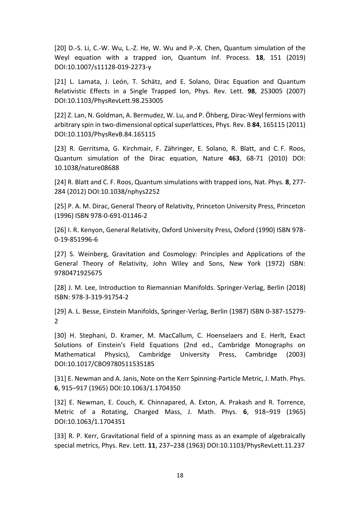[20] D.-S. Li, C.-W. Wu, L.-Z. He, W. Wu and P.-X. Chen, Quantum simulation of the Weyl equation with a trapped ion, Quantum Inf. Process. **18**, 151 (2019) DOI:10.1007/s11128-019-2273-y

[21] L. Lamata, J. León, T. Schätz, and E. Solano, Dirac Equation and Quantum Relativistic Effects in a Single Trapped Ion, Phys. Rev. Lett. **98**, 253005 (2007) DOI:10.1103/PhysRevLett.98.253005

[22] Z. Lan, N. Goldman, A. Bermudez, W. Lu, and P. Öhberg, Dirac-Weyl fermions with arbitrary spin in two-dimensional optical superlattices, Phys. Rev. B **84**, 165115 (2011) DOI:10.1103/PhysRevB.84.165115

[23] R. Gerritsma, G. Kirchmair, F. Zähringer, E. Solano, R. Blatt, and C. F. Roos, Quantum simulation of the Dirac equation, Nature **463**, 68-71 (2010) DOI: 10.1038/nature08688

[24] R. Blatt and C. F. Roos, Quantum simulations with trapped ions, Nat. Phys. **8**, 277- 284 (2012) DOI:10.1038/nphys2252

[25] P. A. M. Dirac, General Theory of Relativity, Princeton University Press, Princeton (1996) ISBN 978-0-691-01146-2

[26] I. R. Kenyon, General Relativity, Oxford University Press, Oxford (1990) ISBN 978- 0-19-851996-6

[27] S. Weinberg, Gravitation and Cosmology: Principles and Applications of the General Theory of Relativity, John Wiley and Sons, New York (1972) ISBN: 9780471925675

[28] J. M. Lee, Introduction to Riemannian Manifolds. Springer-Verlag, Berlin (2018) ISBN: 978-3-319-91754-2

[29] A. L. Besse, Einstein Manifolds, Springer-Verlag, Berlin (1987) ISBN 0-387-15279-  $\mathcal{L}$ 

[30] H. Stephani, D. Kramer, M. MacCallum, C. Hoenselaers and E. Herlt, Exact Solutions of Einstein's Field Equations (2nd ed., Cambridge Monographs on Mathematical Physics), Cambridge University Press, Cambridge (2003) DOI:10.1017/CBO9780511535185

[31] E. Newman and A. Janis, Note on the Kerr Spinning-Particle Metric, J. Math. Phys. **6**, 915–917 (1965) DOI:10.1063/1.1704350

[32] E. Newman, E. Couch, K. Chinnapared, A. Exton, A. Prakash and R. Torrence, Metric of a Rotating, Charged Mass, J. Math. Phys. **6**, 918–919 (1965) DOI:10.1063/1.1704351

[33] R. P. Kerr, Gravitational field of a spinning mass as an example of algebraically special metrics, Phys. Rev. Lett. **11**, 237–238 (1963) DOI:10.1103/PhysRevLett.11.237